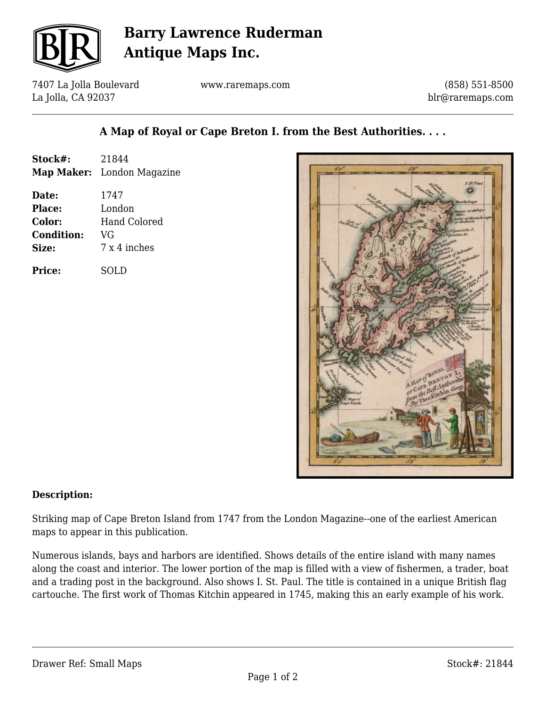

## **Barry Lawrence Ruderman Antique Maps Inc.**

7407 La Jolla Boulevard La Jolla, CA 92037

www.raremaps.com

(858) 551-8500 blr@raremaps.com

## **A Map of Royal or Cape Breton I. from the Best Authorities. . . .**

| Stock#:           | 21844                      |
|-------------------|----------------------------|
|                   | Map Maker: London Magazine |
| Date:             | 1747                       |
| <b>Place:</b>     | London                     |
| Color:            | Hand Colored               |
| <b>Condition:</b> | VG                         |
| Size:             | 7 x 4 inches               |
| <b>Price:</b>     | SOLD                       |



## **Description:**

Striking map of Cape Breton Island from 1747 from the London Magazine--one of the earliest American maps to appear in this publication.

Numerous islands, bays and harbors are identified. Shows details of the entire island with many names along the coast and interior. The lower portion of the map is filled with a view of fishermen, a trader, boat and a trading post in the background. Also shows I. St. Paul. The title is contained in a unique British flag cartouche. The first work of Thomas Kitchin appeared in 1745, making this an early example of his work.